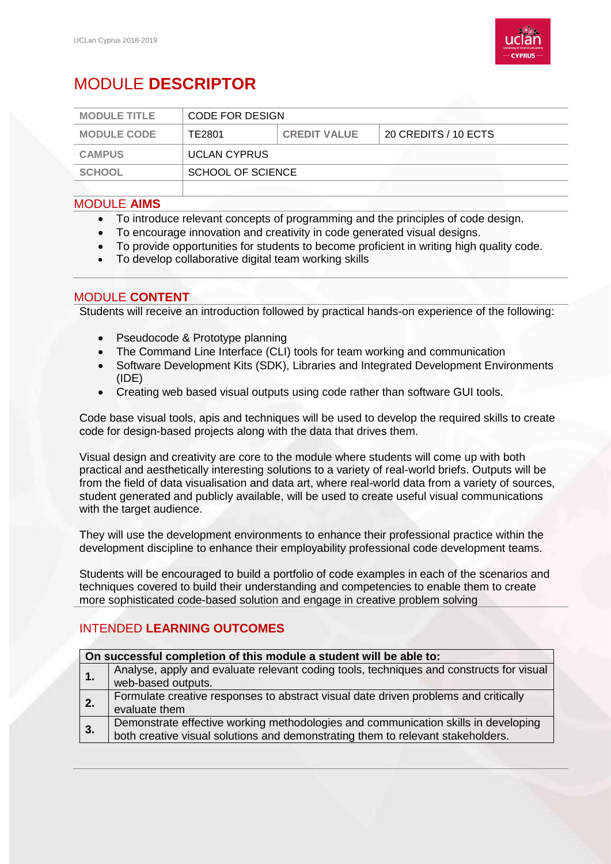

# MODULE **DESCRIPTOR**

| <b>MODULE TITLE</b> | CODE FOR DESIGN     |                     |                      |
|---------------------|---------------------|---------------------|----------------------|
| <b>MODULE CODE</b>  | TE2801              | <b>CREDIT VALUE</b> | 20 CREDITS / 10 ECTS |
| <b>CAMPUS</b>       | <b>UCLAN CYPRUS</b> |                     |                      |
| <b>SCHOOL</b>       | SCHOOL OF SCIENCE   |                     |                      |
|                     |                     |                     |                      |

#### MODULE **AIMS**

- To introduce relevant concepts of programming and the principles of code design.
- To encourage innovation and creativity in code generated visual designs.
- To provide opportunities for students to become proficient in writing high quality code.
- To develop collaborative digital team working skills

#### MODULE **CONTENT**

Students will receive an introduction followed by practical hands-on experience of the following:

- Pseudocode & Prototype planning
- The Command Line Interface (CLI) tools for team working and communication
- Software Development Kits (SDK), Libraries and Integrated Development Environments (IDE)
- Creating web based visual outputs using code rather than software GUI tools.

Code base visual tools, apis and techniques will be used to develop the required skills to create code for design-based projects along with the data that drives them.

Visual design and creativity are core to the module where students will come up with both practical and aesthetically interesting solutions to a variety of real-world briefs. Outputs will be from the field of data visualisation and data art, where real-world data from a variety of sources, student generated and publicly available, will be used to create useful visual communications with the target audience.

They will use the development environments to enhance their professional practice within the development discipline to enhance their employability professional code development teams.

Students will be encouraged to build a portfolio of code examples in each of the scenarios and techniques covered to build their understanding and competencies to enable them to create more sophisticated code-based solution and engage in creative problem solving

## INTENDED **LEARNING OUTCOMES**

| On successful completion of this module a student will be able to: |                                                                                                                                                                       |  |  |
|--------------------------------------------------------------------|-----------------------------------------------------------------------------------------------------------------------------------------------------------------------|--|--|
|                                                                    | Analyse, apply and evaluate relevant coding tools, techniques and constructs for visual<br>web-based outputs.                                                         |  |  |
| $\overline{2}$ .                                                   | Formulate creative responses to abstract visual date driven problems and critically<br>evaluate them                                                                  |  |  |
| 3.                                                                 | Demonstrate effective working methodologies and communication skills in developing<br>both creative visual solutions and demonstrating them to relevant stakeholders. |  |  |